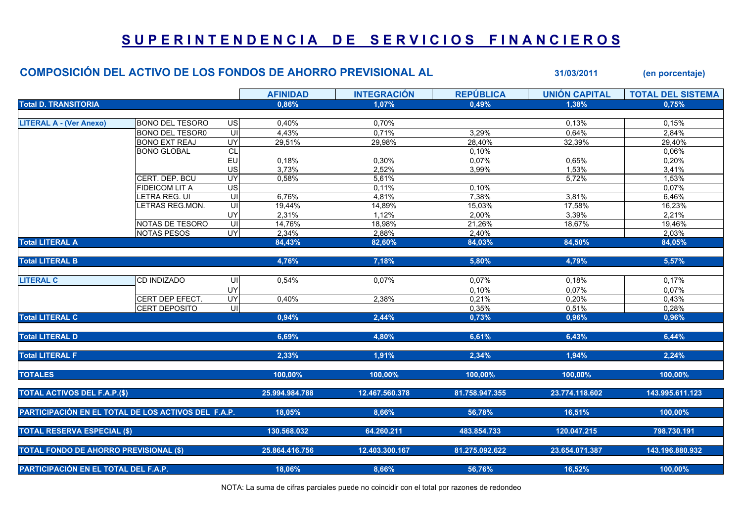## SUPERINTENDENCIA DE SERVICIOS FINANCIEROS

|                                                     | <b>COMPOSICIÓN DEL ACTIVO DE LOS FONDOS DE AHORRO PREVISIONAL AL</b> |                         |                 |                    |                  | 31/03/2011           | (en porcentaje)          |
|-----------------------------------------------------|----------------------------------------------------------------------|-------------------------|-----------------|--------------------|------------------|----------------------|--------------------------|
|                                                     |                                                                      |                         | <b>AFINIDAD</b> | <b>INTEGRACIÓN</b> | <b>REPÚBLICA</b> | <b>UNIÓN CAPITAL</b> | <b>TOTAL DEL SISTEMA</b> |
| <b>Total D. TRANSITORIA</b>                         |                                                                      | 0,86%                   | 1,07%           | 0,49%              | 1,38%            | 0,75%                |                          |
| <b>LITERAL A - (Ver Anexo)</b>                      | <b>BONO DEL TESORO</b>                                               | $\overline{US}$         | 0,40%           | 0,70%              |                  | 0,13%                | 0,15%                    |
|                                                     | <b>BONO DEL TESOR0</b>                                               | UI                      | 4.43%           | 0,71%              | 3,29%            | 0,64%                | 2,84%                    |
|                                                     | <b>BONO EXT REAJ</b>                                                 | UY                      | 29,51%          | 29,98%             | 28,40%           | 32,39%               | 29,40%                   |
|                                                     | <b>BONO GLOBAL</b>                                                   | CL                      |                 |                    | 0,10%            |                      | 0,06%                    |
|                                                     |                                                                      | EU                      | 0,18%           | 0,30%              | 0,07%            | 0,65%                | 0,20%                    |
|                                                     |                                                                      | US                      | 3,73%           | 2,52%              | 3,99%            | 1,53%                | 3,41%                    |
|                                                     | CERT. DEP. BCU                                                       | UY                      | 0,58%           | 5,61%              |                  | 5,72%                | 1,53%                    |
|                                                     | <b>FIDEICOM LIT A</b>                                                | $\overline{US}$         |                 | 0,11%              | 0,10%            |                      | 0,07%                    |
|                                                     | ETRA REG. UI                                                         | $\equiv$                | 6,76%           | 4,81%              | 7,38%            | 3,81%                | 6,46%                    |
|                                                     | <b>ETRAS REG.MON.</b>                                                | $\overline{U}$          | 19,44%          | 14,89%             | 15,03%           | 17,58%               | 16,23%                   |
|                                                     |                                                                      | UY                      | 2,31%           | 1,12%              | 2,00%            | 3,39%                | 2,21%                    |
|                                                     | NOTAS DE TESORO                                                      | S                       | 14,76%          | 18,98%             | 21,26%           | 18,67%               | 19,46%                   |
|                                                     | <b>NOTAS PESOS</b>                                                   | <b>UY</b>               | 2,34%           | 2,88%              | 2,40%            |                      | 2,03%                    |
| <b>Total LITERAL A</b>                              |                                                                      |                         | 84,43%          | 82,60%             | 84,03%           | 84,50%               | 84,05%                   |
| <b>Total LITERAL B</b>                              |                                                                      |                         | 4,76%           | 7,18%              | 5,80%            | 4,79%                | 5,57%                    |
| <b>LITERAL C</b>                                    | <b>CD INDIZADO</b>                                                   | UI                      | 0,54%           | 0,07%              | 0,07%            | 0,18%                | 0,17%                    |
|                                                     |                                                                      | UY                      |                 |                    | 0,10%            | 0,07%                | 0,07%                    |
|                                                     | CERT DEP EFECT.                                                      | UY                      | 0,40%           | 2,38%              | 0,21%            | 0,20%                | 0,43%                    |
|                                                     | <b>CERT DEPOSITO</b>                                                 | $\overline{\mathsf{U}}$ |                 |                    | 0,35%            | 0,51%                | 0,28%                    |
| <b>Total LITERAL C</b>                              |                                                                      |                         | 0,94%           | 2,44%              | 0,73%            | 0,96%                | 0,96%                    |
| <b>Total LITERAL D</b>                              |                                                                      |                         | 6,69%           | 4,80%              | 6,61%            | 6,43%                | 6,44%                    |
| <b>Total LITERAL F</b>                              |                                                                      |                         | 2,33%           | 1,91%              | 2,34%            | 1,94%                | 2,24%                    |
| <b>TOTALES</b>                                      |                                                                      |                         | 100,00%         | 100,00%            | 100,00%          | 100,00%              | 100,00%                  |
| <b>TOTAL ACTIVOS DEL F.A.P.(\$)</b>                 |                                                                      |                         | 25.994.984.788  | 12.467.560.378     | 81.758.947.355   | 23.774.118.602       | 143.995.611.123          |
| PARTICIPACIÓN EN EL TOTAL DE LOS ACTIVOS DEL F.A.P. |                                                                      |                         | 18,05%          | 8,66%              | 56,78%           | 16,51%               | 100,00%                  |
|                                                     |                                                                      |                         |                 |                    |                  |                      |                          |
| <b>TOTAL RESERVA ESPECIAL (\$)</b>                  |                                                                      |                         | 130.568.032     | 64.260.211         | 483.854.733      | 120.047.215          | 798.730.191              |
| <b>TOTAL FONDO DE AHORRO PREVISIONAL (\$)</b>       |                                                                      |                         | 25.864.416.756  | 12.403.300.167     | 81.275.092.622   | 23.654.071.387       | 143.196.880.932          |
| <b>PARTICIPACIÓN EN EL TOTAL DEL F.A.P.</b>         |                                                                      |                         | 18,06%          | 8,66%              | 56,76%           | 16,52%               | 100,00%                  |

NOTA: La suma de cifras parciales puede no coincidir con el total por razones de redondeo